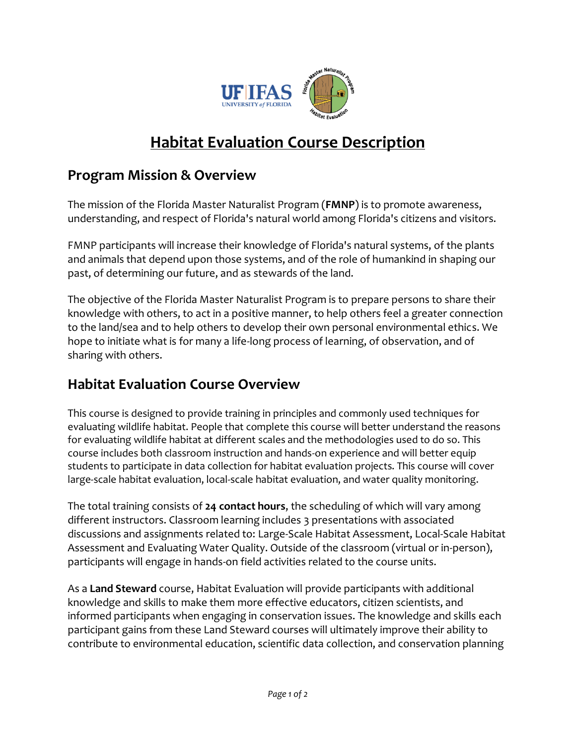

## **Habitat Evaluation Course Description**

## **Program Mission & Overview**

The mission of the Florida Master Naturalist Program (**FMNP**) is to promote awareness, understanding, and respect of Florida's natural world among Florida's citizens and visitors.

FMNP participants will increase their knowledge of Florida's natural systems, of the plants and animals that depend upon those systems, and of the role of humankind in shaping our past, of determining our future, and as stewards of the land.

The objective of the Florida Master Naturalist Program is to prepare persons to share their knowledge with others, to act in a positive manner, to help others feel a greater connection to the land/sea and to help others to develop their own personal environmental ethics. We hope to initiate what is for many a life-long process of learning, of observation, and of sharing with others.

## **Habitat Evaluation Course Overview**

This course is designed to provide training in principles and commonly used techniques for evaluating wildlife habitat. People that complete this course will better understand the reasons for evaluating wildlife habitat at different scales and the methodologies used to do so. This course includes both classroom instruction and hands-on experience and will better equip students to participate in data collection for habitat evaluation projects. This course will cover large-scale habitat evaluation, local-scale habitat evaluation, and water quality monitoring.

The total training consists of **24 contact hours**, the scheduling of which will vary among different instructors. Classroom learning includes 3 presentations with associated discussions and assignments related to: Large-Scale Habitat Assessment, Local-Scale Habitat Assessment and Evaluating Water Quality. Outside of the classroom (virtual or in-person), participants will engage in hands-on field activities related to the course units.

As a **Land Steward** course, Habitat Evaluation will provide participants with additional knowledge and skills to make them more effective educators, citizen scientists, and informed participants when engaging in conservation issues. The knowledge and skills each participant gains from these Land Steward courses will ultimately improve their ability to contribute to environmental education, scientific data collection, and conservation planning